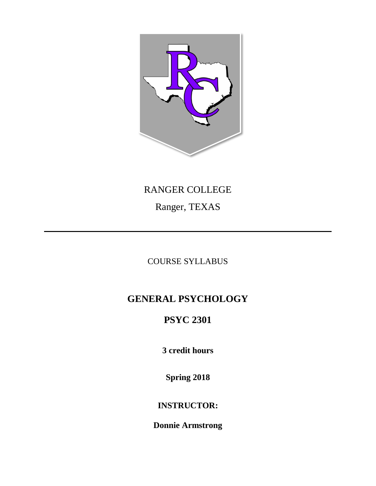

# RANGER COLLEGE Ranger, TEXAS

# COURSE SYLLABUS

# **GENERAL PSYCHOLOGY**

# **PSYC 2301**

**3 credit hours**

**Spring 2018**

# **INSTRUCTOR:**

**Donnie Armstrong**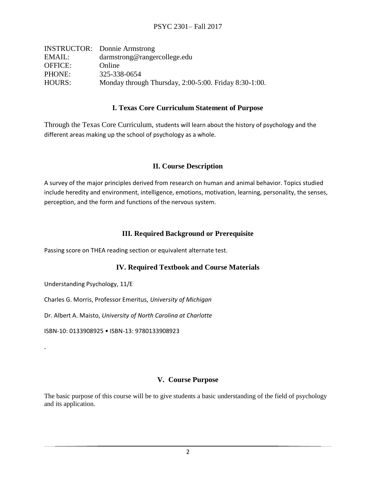|                | <b>INSTRUCTOR:</b> Donnie Armstrong                         |  |
|----------------|-------------------------------------------------------------|--|
| EMAIL:         | darmstrong@rangercollege.edu                                |  |
| <b>OFFICE:</b> | Online                                                      |  |
| PHONE:         | 325-338-0654                                                |  |
| HOURS:         | Monday through Thursday, $2:00-5:00$ . Friday $8:30-1:00$ . |  |

### **I. Texas Core Curriculum Statement of Purpose**

Through the Texas Core Curriculum, students will learn about the history of psychology and the different areas making up the school of psychology as a whole.

### **II. Course Description**

A survey of the major principles derived from research on human and animal behavior. Topics studied include heredity and environment, intelligence, emotions, motivation, learning, personality, the senses, perception, and the form and functions of the nervous system.

# **III. Required Background or Prerequisite**

Passing score on THEA reading section or equivalent alternate test.

### **IV. Required Textbook and Course Materials**

Understanding Psychology, 11/E

.

Charles G. Morris, Professor Emeritus, *University of Michigan*

Dr. Albert A. Maisto, *University of North Carolina at Charlotte*

ISBN-10: 0133908925 • ISBN-13: 9780133908923

#### **V. Course Purpose**

The basic purpose of this course will be to give students a basic understanding of the field of psychology and its application.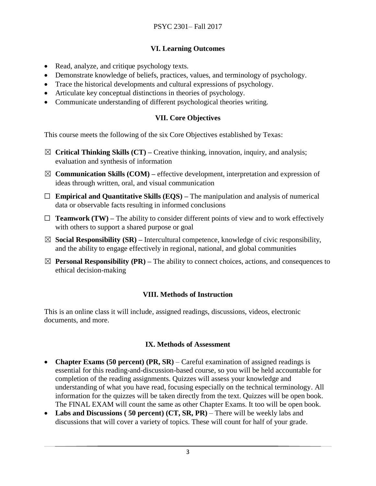# **VI. Learning Outcomes**

- Read, analyze, and critique psychology texts.
- Demonstrate knowledge of beliefs, practices, values, and terminology of psychology.
- Trace the historical developments and cultural expressions of psychology.
- Articulate key conceptual distinctions in theories of psychology.
- Communicate understanding of different psychological theories writing.

# **VII. Core Objectives**

This course meets the following of the six Core Objectives established by Texas:

- ☒ **Critical Thinking Skills (CT) –** Creative thinking, innovation, inquiry, and analysis; evaluation and synthesis of information
- $\boxtimes$  **Communication Skills (COM)** effective development, interpretation and expression of ideas through written, oral, and visual communication
- ☐ **Empirical and Quantitative Skills (EQS) –** The manipulation and analysis of numerical data or observable facts resulting in informed conclusions
- $\Box$  **Teamwork (TW)** The ability to consider different points of view and to work effectively with others to support a shared purpose or goal
- $\boxtimes$  **Social Responsibility (SR)** Intercultural competence, knowledge of civic responsibility, and the ability to engage effectively in regional, national, and global communities
- $\boxtimes$  **Personal Responsibility (PR)** The ability to connect choices, actions, and consequences to ethical decision-making

# **VIII. Methods of Instruction**

This is an online class it will include, assigned readings, discussions, videos, electronic documents, and more.

### **IX. Methods of Assessment**

- **Chapter Exams (50 percent) (PR, SR)**  Careful examination of assigned readings is essential for this reading-and-discussion-based course, so you will be held accountable for completion of the reading assignments. Quizzes will assess your knowledge and understanding of what you have read, focusing especially on the technical terminology. All information for the quizzes will be taken directly from the text. Quizzes will be open book. The FINAL EXAM will count the same as other Chapter Exams. It too will be open book.
- **Labs and Discussions ( 50 percent) (CT, SR, PR)**  There will be weekly labs and discussions that will cover a variety of topics. These will count for half of your grade.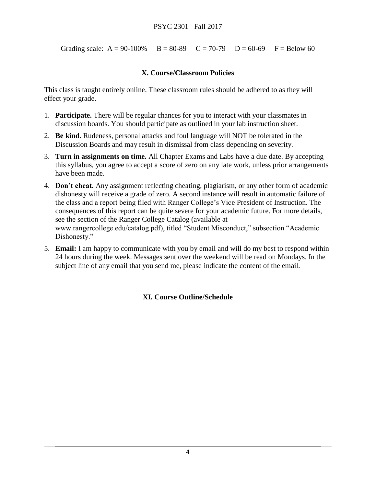Grading scale:  $A = 90-100\%$  B = 80-89 C = 70-79 D = 60-69 F = Below 60

# **X. Course/Classroom Policies**

This class is taught entirely online. These classroom rules should be adhered to as they will effect your grade.

- 1. **Participate.** There will be regular chances for you to interact with your classmates in discussion boards. You should participate as outlined in your lab instruction sheet.
- 2. **Be kind.** Rudeness, personal attacks and foul language will NOT be tolerated in the Discussion Boards and may result in dismissal from class depending on severity.
- 3. **Turn in assignments on time.** All Chapter Exams and Labs have a due date. By accepting this syllabus, you agree to accept a score of zero on any late work, unless prior arrangements have been made.
- 4. **Don't cheat.** Any assignment reflecting cheating, plagiarism, or any other form of academic dishonesty will receive a grade of zero. A second instance will result in automatic failure of the class and a report being filed with Ranger College's Vice President of Instruction. The consequences of this report can be quite severe for your academic future. For more details, see the section of the Ranger College Catalog (available at www.rangercollege.edu/catalog.pdf), titled "Student Misconduct," subsection "Academic Dishonesty."
- 5. **Email:** I am happy to communicate with you by email and will do my best to respond within 24 hours during the week. Messages sent over the weekend will be read on Mondays. In the subject line of any email that you send me, please indicate the content of the email.

# **XI. Course Outline/Schedule**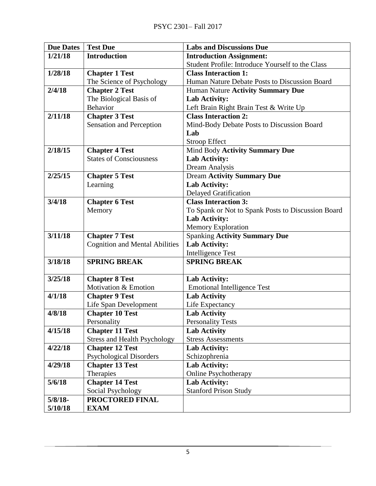| <b>Due Dates</b> | <b>Test Due</b>                       | <b>Labs and Discussions Due</b>                    |
|------------------|---------------------------------------|----------------------------------------------------|
| 1/21/18          | <b>Introduction</b>                   | <b>Introduction Assignment:</b>                    |
|                  |                                       | Student Profile: Introduce Yourself to the Class   |
| 1/28/18          | <b>Chapter 1 Test</b>                 | <b>Class Interaction 1:</b>                        |
|                  | The Science of Psychology             | Human Nature Debate Posts to Discussion Board      |
| 2/4/18           | <b>Chapter 2 Test</b>                 | Human Nature Activity Summary Due                  |
|                  | The Biological Basis of               | Lab Activity:                                      |
|                  | Behavior                              | Left Brain Right Brain Test & Write Up             |
| 2/11/18          | <b>Chapter 3 Test</b>                 | <b>Class Interaction 2:</b>                        |
|                  | Sensation and Perception              | Mind-Body Debate Posts to Discussion Board         |
|                  |                                       | Lab                                                |
|                  |                                       | <b>Stroop Effect</b>                               |
| 2/18/15          | <b>Chapter 4 Test</b>                 | Mind Body Activity Summary Due                     |
|                  | <b>States of Consciousness</b>        | Lab Activity:                                      |
|                  |                                       | Dream Analysis                                     |
| 2/25/15          | <b>Chapter 5 Test</b>                 | <b>Dream Activity Summary Due</b>                  |
|                  | Learning                              | Lab Activity:                                      |
|                  |                                       | <b>Delayed Gratification</b>                       |
| 3/4/18           | <b>Chapter 6 Test</b>                 | <b>Class Interaction 3:</b>                        |
|                  | Memory                                | To Spank or Not to Spank Posts to Discussion Board |
|                  |                                       | Lab Activity:                                      |
|                  |                                       | Memory Exploration                                 |
| 3/11/18          | <b>Chapter 7 Test</b>                 | <b>Spanking Activity Summary Due</b>               |
|                  | <b>Cognition and Mental Abilities</b> | Lab Activity:                                      |
|                  |                                       | <b>Intelligence Test</b>                           |
| 3/18/18          | <b>SPRING BREAK</b>                   | <b>SPRING BREAK</b>                                |
| 3/25/18          | <b>Chapter 8 Test</b>                 | Lab Activity:                                      |
|                  | Motivation & Emotion                  | <b>Emotional Intelligence Test</b>                 |
| 4/1/18           | <b>Chapter 9 Test</b>                 | <b>Lab Activity</b>                                |
|                  | Life Span Development                 | Life Expectancy                                    |
| 4/8/18           | <b>Chapter 10 Test</b>                | <b>Lab Activity</b>                                |
|                  | Personality                           | <b>Personality Tests</b>                           |
| 4/15/18          | <b>Chapter 11 Test</b>                | <b>Lab Activity</b>                                |
|                  | <b>Stress and Health Psychology</b>   | <b>Stress Assessments</b>                          |
| 4/22/18          | <b>Chapter 12 Test</b>                | Lab Activity:                                      |
|                  | <b>Psychological Disorders</b>        | Schizophrenia                                      |
| 4/29/18          | <b>Chapter 13 Test</b>                | Lab Activity:                                      |
|                  | Therapies                             | <b>Online Psychotherapy</b>                        |
| 5/6/18           | <b>Chapter 14 Test</b>                | Lab Activity:                                      |
|                  | Social Psychology                     | <b>Stanford Prison Study</b>                       |
| $5/8/18$ -       | PROCTORED FINAL                       |                                                    |
| 5/10/18          | <b>EXAM</b>                           |                                                    |